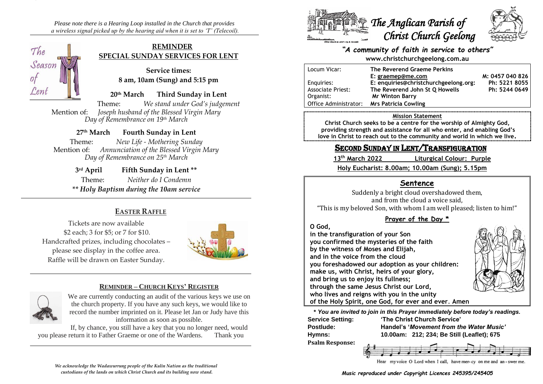*Please note there is a Hearing Loop installed in the Church that provides a wireless signal picked up by the hearing aid when it is set to 'T' (Telecoil).*

## **REMINDER SPECIAL SUNDAY SERVICES FOR LENT**

**Service times: 8 am, 10am (Sung) and 5:15 pm**

**20th March Third Sunday in Lent**

Theme: *We stand under God's judgement* Mention of: *Joseph husband of the Blessed Virgin Mary Day of Remembrance on 19th March*

**27th March Fourth Sunday in Lent**

Theme: *New Life - Mothering Sunday* Mention of: *Annunciation of the Blessed Virgin Mary Day of Remembrance on 25th March*

> 3rd April **Fifth Sunday in Lent** \*\* Theme: *Neither do I Condemn \*\* Holy Baptism during the 10am service*

## **EASTER RAFFLE**

Tickets are now available \$2 each; 3 for \$5; or 7 for \$10. Handcrafted prizes, including chocolates – please see display in the coffee area. Raffle will be drawn on Easter Sunday.



### **REMINDER – CHURCH KEYS' REGISTER**



The

 $\overline{O}$ 

Lent

Season

We are currently conducting an audit of the various keys we use on the church property. If you have any such keys, we would like to record the number imprinted on it. Please let Jan or Judy have this information as soon as possible.

If, by chance, you still have a key that you no longer need, would you please return it to Father Graeme or one of the Wardens. Thank you





#### *"A community of faith in service to others"* **www.christchurchgeelong.com.au**

| Locum Vicar:             | The Reverend Graeme Perkins           |                 |
|--------------------------|---------------------------------------|-----------------|
|                          | E: graemep@me.com                     | M: 0457 040 826 |
| Enguiries:               | E: enquiries@christchurchgeelong.org: | Ph: 5221 8055   |
| <b>Associate Priest:</b> | The Reverend John St Q Howells        | Ph: 5244 0649   |
| Organist:                | <b>Mr Winton Barry</b>                |                 |
| l Office Administrator:  | <b>Mrs Patricia Cowling</b>           |                 |

#### **Mission Statement**

**Christ Church seeks to be a centre for the worship of Almighty God, providing strength and assistance for all who enter, and enabling God's love in Christ to reach out to the community and world in which we live.**

# SECOND SUNDAY IN LENT/TRANSFIGURATION

**13th March 2022 Liturgical Colour: Purple**

**Holy Eucharist: 8.00am; 10.00am (Sung); 5.15pm**

## **Sentence**

Suddenly a bright cloud overshadowed them, and from the cloud a voice said,

"This is my beloved Son, with whom I am well pleased; listen to him!"

## **Prayer of the Day \***

#### **O God,**

**in the transfiguration of your Son you confirmed the mysteries of the faith by the witness of Moses and Elijah, and in the voice from the cloud you foreshadowed our adoption as your children: make us, with Christ, heirs of your glory, and bring us to enjoy its fullness; through the same Jesus Christ our Lord, who lives and reigns with you in the unity**



**of the Holy Spirit, one God, for ever and ever**. **Amen**

**\*** *You are invited to join in this Prayer immediately before today's readings.*

**Psalm Response:**

**Service Setting: 'The Christ Church Service' Postlude: Handel's '***Movement from the Water Music'* **Hymns: 10.00am: 212; 234; Be Still (Leaflet); 675**



Hear myvoice O Lord when I call, have mer-cy on me and an-swer me.

*We acknowledge the Wadawurrung people of the Kulin Nation as the traditional custodians of the lands on which Christ Church and its building now stand.*

*Music reproduced under Copyright Licences 245395/245405*